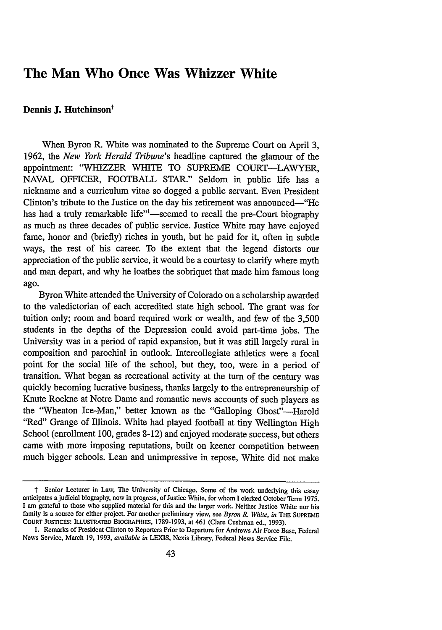# **The Man Who Once Was Whizzer White**

## Dennis J. Hutchinson<sup>t</sup>

When Byron R. White was nominated to the Supreme Court on April **3, 1962,** the *New York Herald Tribune's* headline captured the glamour of the appointment: "WHIZZER WHITE TO **SUPREME** COURT-LAWYER, **NAVAL** OFFICER, FOOTBALL STAR." Seldom in public life has a nickname and a curriculum vitae so dogged a public servant. Even President Clinton's tribute to the Justice on the day his retirement was announced-"He has had a truly remarkable life"<sup>1</sup>—seemed to recall the pre-Court biography as much as three decades of public service. Justice White may have enjoyed fame, honor and (briefly) riches in youth, but he paid for it, often in subtle ways, the rest of his career. To the extent that the legend distorts our appreciation of the public service, it would be a courtesy to clarify where myth and man depart, and why he loathes the sobriquet that made him famous long ago.

Byron White attended the University of Colorado on a scholarship awarded to the valedictorian of each accredited state high school. The grant was for tuition only; room and board required work or wealth, and few of the **3,500** students in the depths of the Depression could avoid part-time jobs. The University was in a period of rapid expansion, but it was still largely rural in composition and parochial in outlook. Intercollegiate athletics were a focal point for the social life of the school, but they, too, were in a period of transition. What began as recreational activity at the turn of the century was quickly becoming lucrative business, thanks largely to the entrepreneurship of Knute Rockne at Notre Dame and romantic news accounts of such players as the "Wheaton Ice-Man," better known as the "Galloping Ghost"-Harold "Red" Grange of Illinois. White had played football at tiny Wellington High School (enrollment **100,** grades **8-12)** and enjoyed moderate success, but others came with more imposing reputations, built on keener competition between much bigger schools. Lean and unimpressive in repose, White did not make

*t* Senior Lecturer in Law, The University of Chicago. Some of the work underlying this essay anticipates a judicial biography, now in progress, of Justice White, for whom **I** clerked October Term **1975. I** am grateful to those who supplied material for this and the larger work. Neither Justice White nor his family is a source for either project. For another preliminary view, see *Byron R. Vhite, in* THE **SUPREME** COURT JUSTICES: ILLUSTRATED BIOGRAPHIES, **1789-1993,** at 461 (Clare Cushman ed., **1993).**

**I.** Remarks of President Clinton to Reporters Prior to Departure for Andrews Air Force Base, Federal News Service, March **19, 1993,** *available in* **LEXIS,** Nexis Library, Federal News Service File.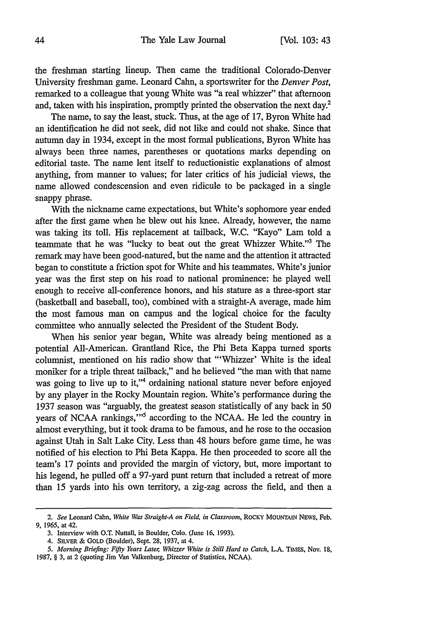the freshman starting lineup. Then came the traditional Colorado-Denver University freshman game. Leonard Cahn, a sportswriter for the *Denver Post,* remarked to a colleague that young White was "a real whizzer" that afternoon and, taken with his inspiration, promptly printed the observation the next day.2

The name, to say the least, stuck. Thus, at the age of 17, Byron White had an identification he did not seek, did not like and could not shake. Since that autumn day in 1934, except in the most formal publications, Byron White has always been three names, parentheses or quotations marks depending on editorial taste. The name lent itself to reductionistic explanations of almost anything, from manner to values; for later critics of his judicial views, the name allowed condescension and even ridicule to be packaged in a single snappy phrase.

With the nickname came expectations, but White's sophomore year ended after the first game when he blew out his knee. Already, however, the name was taking its toll. His replacement at tailback, W.C. "Kayo" Lam told a teammate that he was "lucky to beat out the great Whizzer White."3 The remark may have been good-natured, but the name and the attention it attracted began to constitute a friction spot for White and his teammates. White's junior year was the first step on his road to national prominence: he played well enough to receive all-conference honors, and his stature as a three-sport star (basketball and baseball, too), combined with a straight-A average, made him the most famous man on campus and the logical choice for the faculty committee who annually selected the President of the Student Body.

When his senior year began, White was already being mentioned as a potential All-American. Grantland Rice, the Phi Beta Kappa turned sports columnist, mentioned on his radio show that "'Whizzer' White is the ideal moniker for a triple threat tailback," and he believed "the man with that name was going to live up to it,"<sup>4</sup> ordaining national stature never before enjoyed by any player in the Rocky Mountain region. White's performance during the 1937 season was "arguably, the greatest season statistically of any back in 50 years of NCAA rankings,"<sup>5</sup> according to the NCAA. He led the country in almost everything, but it took drama to be famous, and he rose to the occasion against Utah in Salt Lake City. Less than 48 hours before game time, he was notified of his election to Phi Beta Kappa. He then proceeded to score all the team's 17 points and provided the margin of victory, but, more important to his legend, he pulled off a 97-yard punt return that included a retreat of more than 15 yards into his own territory, a zig-zag across the field, and then a

*<sup>2.</sup> See* Leonard Cahn, *White Was Straight-A on Field, in Classroom,* ROCKY MOUNTAIN NEws, Feb. **9, 1965,** at 42.

<sup>3.</sup> Interview with O.T. Nuttall, in Boulder, Colo. (June 16, 1993).

<sup>4.</sup> SILVER & GOLD (Boulder), Sept. 28, 1937, at 4.

*<sup>5.</sup> Morning Briefing: Fifty Years Later, Whizzer White is Still Hard to Catch,* L.A. TINiES, Nov. 18,

<sup>1987, § 3,</sup> at 2 (quoting Jim Van Valkenburg, Director of Statistics, NCAA).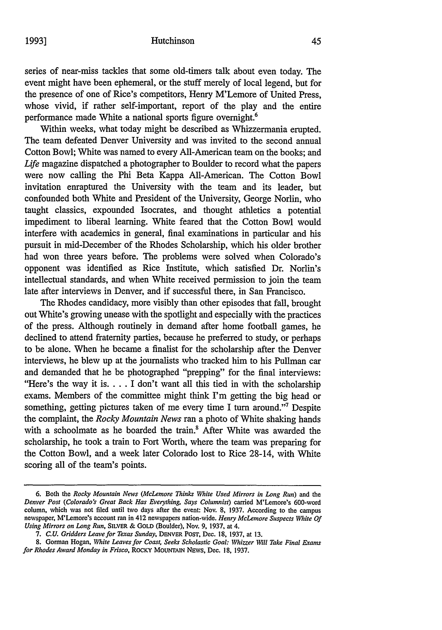series of near-miss tackles that some old-timers talk about even today. The event might have been ephemeral, or the stuff merely of local legend, but for the presence of one of Rice's competitors, Henry M'Lemore of United Press, whose vivid, if rather self-important, report of the play and the entire performance made White a national sports figure overnight.<sup>6</sup>

Within weeks, what today might be described as Whizzermania erupted. The team defeated Denver University and was invited to the second annual Cotton Bowl; White was named to every All-American team on the books; and Life magazine dispatched a photographer to Boulder to record what the papers were now calling the Phi Beta Kappa All-American. The Cotton Bowl invitation enraptured the University with the team and its leader, but confounded both White and President of the University, George Norlin, who taught classics, expounded Isocrates, and thought athletics a potential impediment to liberal learning. White feared that the Cotton Bowl would interfere with academics in general, final examinations in particular and his pursuit in mid-December of the Rhodes Scholarship, which his older brother had won three years before. The problems were solved when Colorado's opponent was identified as Rice Institute, which satisfied Dr. Norlin's intellectual standards, and when White received permission to join the team late after interviews in Denver, and if successful there, in San Francisco.

The Rhodes candidacy, more visibly than other episodes that fall, brought out White's growing unease with the spotlight and especially with the practices of the press. Although routinely in demand after home football games, he declined to attend fraternity parties, because he preferred to study, or perhaps to be alone. When he became a finalist for the scholarship after the Denver interviews, he blew up at the journalists who tracked him to his Pullman car and demanded that he be photographed "prepping" for the final interviews: "Here's the way it is **....** I don't want all this tied in with the scholarship exams. Members of the committee might think I'm getting the big head or something, getting pictures taken of me every time I turn around."<sup>7</sup> Despite the complaint, the *Rocky Mountain News* ran a photo of White shaking hands with a schoolmate as he boarded the train.<sup>8</sup> After White was awarded the scholarship, he took a train to Fort Worth, where the team was preparing for the Cotton Bowl, and a week later Colorado lost to Rice 28-14, with White scoring all of the team's points.

**<sup>6.</sup>** Both the *Rocky Mountain News (McLemore Thinks White Used Mirrors in Long Run)* and the *Denver Post (Colorado's Great Back Has Everything, Says Columnist)* carried M'Lemore's 600-word column, which was not filed until two days after the event: Nov. 8, 1937. According to the campus newspaper, M'Lemore's account ran in 412 newspapers nation-wide. *Henry McLemore Suspects White Of Using Mirrors on Long Run,* SILVER & GOLD (Boulder), Nov. 9, 1937, at 4.

<sup>7.</sup> *C.U. Gridders Leave for Texas Sunday,* DENVER POST, Dec. 18, 1937, at 13.

<sup>8.</sup> Gorman Hogan, *White Leaves for Coast, Seeks Scholastic Goal: Whizzer Will Take Final Exams for Rhodes Award Monday in Frisco,* ROCKY **MOUNTAIN** NEWs, Dec. 18, 1937.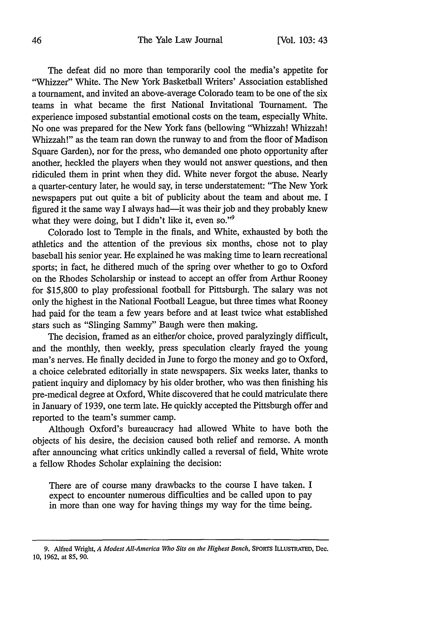The defeat did no more than temporarily cool the media's appetite for "Whizzer" White. The New York Basketball Writers' Association established a tournament, and invited an above-average Colorado team to be one of the six teams in what became the first National Invitational Tournament. The experience imposed substantial emotional costs on the team, especially White. No one was prepared for the New York fans (bellowing "Whizzah! Whizzah! Whizzah!" as the team ran down the runway to and from the floor of Madison Square Garden), nor for the press, who demanded one photo opportunity after another, heckled the players when they would not answer questions, and then ridiculed them in print when they did. White never forgot the abuse. Nearly a quarter-century later, he would say, in terse understatement: "The New York newspapers put out quite a bit of publicity about the team and about me. I figured it the same way I always had-it was their job and they probably knew what they were doing, but I didn't like it, even so."<sup>9</sup>

Colorado lost to Temple in the finals, and White, exhausted by both the athletics and the attention of the previous six months, chose not to play baseball his senior year. He explained he was making time to learn recreational sports; in fact, he dithered much of the spring over whether to go to Oxford on the Rhodes Scholarship or instead to accept an offer from Arthur Rooney for \$15,800 to play professional football for Pittsburgh. The salary was not only the highest in the National Football League, but three times what Rooney had paid for the team a few years before and at least twice what established stars such as "Slinging Sammy" Baugh were then making.

The decision, framed as an either/or choice, proved paralyzingly difficult, and the monthly, then weekly, press speculation clearly frayed the young man's nerves. He finally decided in June to forgo the money and go to Oxford, a choice celebrated editorially in state newspapers. Six weeks later, thanks to patient inquiry and diplomacy by his older brother, who was then finishing his pre-medical degree at Oxford, White discovered that he could matriculate there in January of 1939, one term late. He quickly accepted the Pittsburgh offer and reported to the team's summer camp.

Although Oxford's bureaucracy had allowed White to have both the objects of his desire, the decision caused both relief and remorse. A month after announcing what critics unkindly called a reversal of field, White wrote a fellow Rhodes Scholar explaining the decision:

There are of course many drawbacks to the course I have taken. I expect to encounter numerous difficulties and be called upon to pay in more than one way for having things my way for the time being.

**<sup>9.</sup>** Alfred Wright, *A Modest All-America* Who *Sits on the Highest Bench,* SPORTS ILLUSTRATED, **Dec. 10, 1962,** at **85, 90.**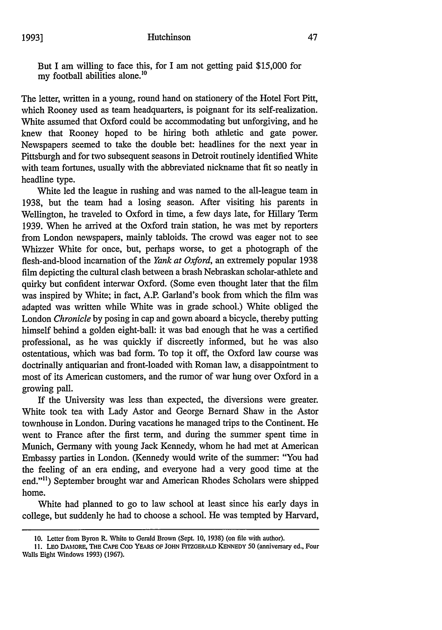But I am willing to face this, for I am not getting paid \$15,000 for my football abilities alone.<sup>10</sup>

The letter, written in a young, round hand on stationery of the Hotel Fort Pitt, which Rooney used as team headquarters, is poignant for its self-realization. White assumed that Oxford could be accommodating but unforgiving, and he knew that Rooney hoped to be hiring both athletic and gate power. Newspapers seemed to take the double bet: headlines for the next year in Pittsburgh and for two subsequent seasons in Detroit routinely identified White with team fortunes, usually with the abbreviated nickname that fit so neatly in headline type.

White led the league in rushing and was named to the all-league team in 1938, but the team had a losing season. After visiting his parents in Wellington, he traveled to Oxford in time, a few days late, for Hillary Term 1939. When he arrived at the Oxford train station, he was met by reporters from London newspapers, mainly tabloids. The crowd was eager not to see Whizzer White for once, but, perhaps worse, to get a photograph of the flesh-and-blood incarnation of the *Yank at Oxford,* an extremely popular 1938 film depicting the cultural clash between a brash Nebraskan scholar-athlete and quirky but confident interwar Oxford. (Some even thought later that the film was inspired by White; in fact, A.P. Garland's book from which the film was adapted was written while White was in grade school.) White obliged the London *Chronicle* by posing in cap and gown aboard a bicycle, thereby putting himself behind a golden eight-ball: it was bad enough that he was a certified professional, as he was quickly if discreetly informed, but he was also ostentatious, which was bad form. To top it off, the Oxford law course was doctrinally antiquarian and front-loaded with Roman law, a disappointment to most of its American customers, and the rumor of war hung over Oxford in a growing pall.

If the University was less than expected, the diversions were greater. White took tea with Lady Astor and George Bernard Shaw in the Astor townhouse in London. During vacations he managed trips to the Continent. He went to France after the first term, and during the summer spent time in Munich, Germany with young Jack Kennedy, whom he had met at American Embassy parties in London. (Kennedy would write of the summer: "You had the feeling of an era ending, and everyone had a very good time at the end."") September brought war and American Rhodes Scholars were shipped home.

White had planned to go to law school at least since his early days in college, but suddenly he had to choose a school. He was tempted by Harvard,

<sup>10.</sup> Letter from Byron R. White to Gerald Brown (Sept. 10, 1938) (on file with author).

**<sup>11.</sup>** LEO DAMORE, THE **CAPE COD** YEARS **OF JOHN** FITZGERALD **KENNEDY 50** (anniversary ed., Four Walls Eight Windows **1993)** (1967).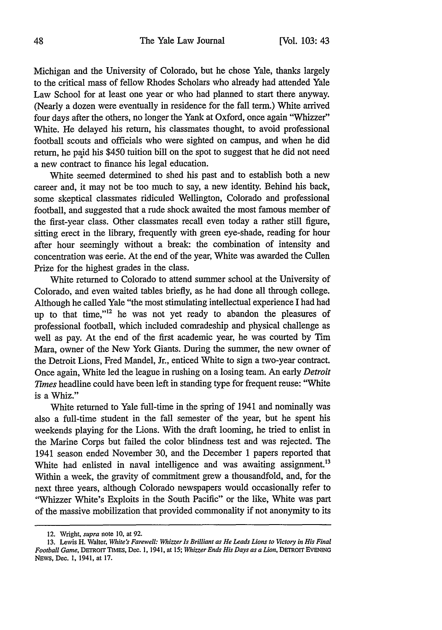Michigan and the University of Colorado, but he chose Yale, thanks largely to the critical mass of fellow Rhodes Scholars who already had attended Yale Law School for at least one year or who had planned to start there anyway. (Nearly a dozen were eventually in residence for the fall term.) White arrived four days after the others, no longer the Yank at Oxford, once again "Whizzer" White. He delayed his return, his classmates thought, to avoid professional football scouts and officials who were sighted on campus, and when he did return, he paid his \$450 tuition bill on the spot to suggest that he did not need a new contract to finance his legal education.

White seemed determined to shed his past and to establish both a new career and, it may not be too much to say, a new identity. Behind his back, some skeptical classmates ridiculed Wellington, Colorado and professional football, and suggested that a rude shock awaited the most famous member of the first-year class. Other classmates recall even today a rather still figure, sitting erect in the library, frequently with green eye-shade, reading for hour after hour seemingly without a break: the combination of intensity and concentration was eerie. At the end of the year, White was awarded the Cullen Prize for the highest grades in the class.

White returned to Colorado to attend summer school at the University of Colorado, and even waited tables briefly, as he had done all through college. Although he called Yale "the most stimulating intellectual experience I had had up to that time,"<sup>12</sup> he was not yet ready to abandon the pleasures of professional football, which included comradeship and physical challenge as well as pay. At the end of the first academic year, he was courted by Tim Mara, owner of the New York Giants. During the summer, the new owner of the Detroit Lions, Fred Mandel, Jr., enticed White to sign a two-year contract. Once again, White led the league in rushing on a losing team. An early *Detroit* Times headline could have been left in standing type for frequent reuse: "White is a Whiz."

White returned to Yale full-time in the spring of 1941 and nominally was also a full-time student in the fall semester of the year, but he spent his weekends playing for the Lions. With the draft looming, he tried to enlist in the Marine Corps but failed the color blindness test and was rejected. The 1941 season ended November 30, and the December 1 papers reported that White had enlisted in naval intelligence and was awaiting assignment.<sup>13</sup> Within a week, the gravity of commitment grew a thousandfold, and, for the next three years, although Colorado newspapers would occasionally refer to "Whizzer White's Exploits in the South Pacific" or the like, White was part of the massive mobilization that provided commonality if not anonymity to its

<sup>12.</sup> Wright, *supra* note **10,** at 92.

<sup>13.</sup> Lewis H. Walter, *White's Farewell: Whizzer Is Brilliant as He Leads Lions to Victory in His Final Football Game,* DEmROrr TIMES, Dec. **1,** 1941, at *15; Whizzer Ends His Days as a Lion,* DETROIT EVENING NEWS, Dec. 1, 1941, at 17.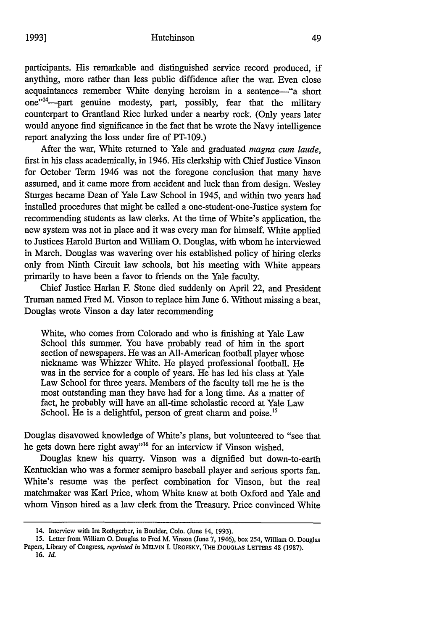participants. His remarkable and distinguished service record produced, if anything, more rather than less public diffidence after the war. Even close acquaintances remember White denying heroism in a sentence-"a short one"<sup>14</sup>—part genuine modesty, part, possibly, fear that the military counterpart to Grantland Rice lurked under a nearby rock. (Only years later would anyone find significance in the fact that he wrote the Navy intelligence report analyzing the loss under fire of PT-109.)

After the war, White returned to Yale and graduated *magna cum laude,* first in his class academically, in 1946. His clerkship with Chief Justice Vinson for October Term 1946 was not the foregone conclusion that many have assumed, and it came more from accident and luck than from design. Wesley Sturges became Dean of Yale Law School in 1945, and within two years had installed procedures that might be called a one-student-one-Justice system for recommending students as law clerks. At the time of White's application, the new system was not in place and it was every man for himself. White applied to Justices Harold Burton and William **0.** Douglas, with whom he interviewed in March. Douglas was wavering over his established policy of hiring clerks only from Ninth Circuit law schools, but his meeting with White appears primarily to have been a favor to friends on the Yale faculty.

Chief Justice Harlan F. Stone died suddenly on April 22, and President Truman named Fred M. Vinson to replace him June 6. Without missing a beat, Douglas wrote Vinson a day later recommending

White, who comes from Colorado and who is finishing at Yale Law School this summer. You have probably read of him in the sport section of newspapers. He was an All-American football player whose nickname was Whizzer White. He played professional football. He was in the service for a couple of years. He has led his class at Yale Law School for three years. Members of the faculty tell me he is the most outstanding man they have had for a long time. As a matter of fact, he probably will have an all-time scholastic record at Yale Law School. He is a delightful, person of great charm and poise.<sup>15</sup>

Douglas disavowed knowledge of White's plans, but volunteered to "see that he gets down here right away"<sup>16</sup> for an interview if Vinson wished.

Douglas knew his quarry. Vinson was a dignified but down-to-earth Kentuckian who was a former semipro baseball player and serious sports fan. White's resume was the perfect combination for Vinson, but the real matchmaker was Karl Price, whom White knew at both Oxford and Yale and whom Vinson hired as a law clerk from the Treasury. Price convinced White

<sup>14.</sup> Interview with Ira Rothgerber, in Boulder, Colo. (June 14, **1993).**

**<sup>15.</sup>** Letter from William **0.** Douglas to Fred M. Vinson (June **7, 1946),** box 254, William **0.** Douglas

Papers, Library of Congress, *reprinted in* **MELVIN I.** UROFSKY, THE DOUGLAS **LETERS** 48 **(1987). 16.** *Id.*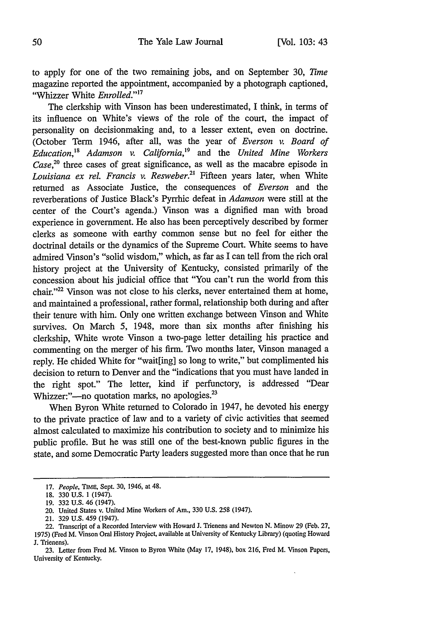to apply for one of the two remaining jobs, and on September 30, *7ime* magazine reported the appointment, accompanied by a photograph captioned, "Whizzer White *Enrolled."'17*

The clerkship with Vinson has been underestimated, I think, in terms of its influence on White's views of the role of the court, the impact of personality on decisionmaking and, to a lesser extent, even on doctrine. (October Term 1946, after all, was the year of *Everson v. Board of Education,1 8 Adamson v. California,'9* and the *United Mine Workers* Case,<sup>20</sup> three cases of great significance, as well as the macabre episode in *Louisiana ex reL Francis v. Resweber.2'* Fifteen years later, when White returned as Associate Justice, the consequences of *Everson* and the reverberations of Justice Black's Pyrrhic defeat in *Adamson* were still at the center of the Court's agenda.) Vinson was a dignified man with broad experience in government. He also has been perceptively described by former clerks as someone with earthy common sense but no feel for either the doctrinal details or the dynamics of the Supreme Court. White seems to have admired Vinson's "solid wisdom," which, as far as I can tell from the rich oral history project at the University of Kentucky, consisted primarily of the concession about his judicial office that "You can't run the world from this chair."<sup>22</sup> Vinson was not close to his clerks, never entertained them at home, and maintained a professional, rather formal, relationship both during and after their tenure with him. Only one written exchange between Vinson and White survives. On March 5, 1948, more than six months after finishing his clerkship, White wrote Vinson a two-page letter detailing his practice and commenting on the merger of his firm. Two months later, Vinson managed a reply. He chided White for "wait[ing] so long to write," but complimented his decision to return to Denver and the "indications that you must have landed in the right spot." The letter, kind if perfunctory, is addressed "Dear Whizzer:"-no quotation marks, no apologies.<sup>23</sup>

When Byron White returned to Colorado in 1947, he devoted his energy to the private practice of law and to a variety of civic activities that seemed almost calculated to maximize his contribution to society and to minimize his public profile. But he was still one of the best-known public figures in the state, and some Democratic Party leaders suggested more than once that he run

<sup>17.</sup> *People,* TIME, Sept. 30, 1946, at 48.

<sup>18. 330</sup> U.S. 1 (1947).

<sup>19. 332</sup> U.S. 46 (1947).

<sup>20.</sup> United States v. United Mine Workers of Am., 330 U.S. 258 (1947).

<sup>21. 329</sup> U.S. 459 (1947).

<sup>22.</sup> Transcript of a Recorded Interview with Howard J. Trienens and Newton N. Minow 29 (Feb. 27, 1975) (Fred M. Vinson Oral History Project, available at University of Kentucky Library) (quoting Howard J. Trienens).

<sup>23.</sup> Letter from Fred M. Vinson to Byron White (May 17, 1948), box 216, Fred M. Vinson Papers, University of Kentucky.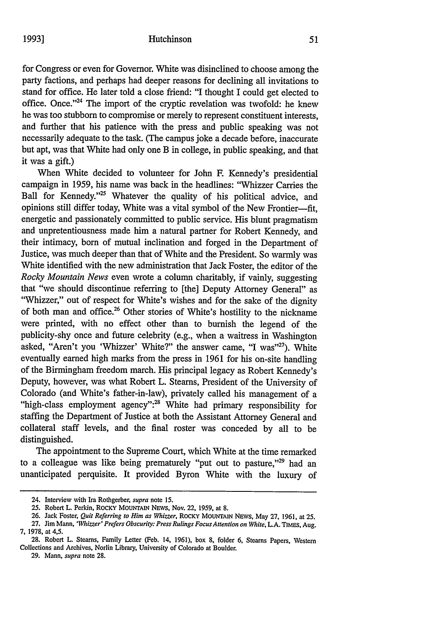for Congress or even for Governor. White was disinclined to choose among the party factions, and perhaps had deeper reasons for declining all invitations to stand for office. He later told a close friend: "I thought I could get elected to office. Once."<sup>24</sup> The import of the cryptic revelation was twofold: he knew he was too stubborn to compromise or merely to represent constituent interests, and further that his patience with the press and public speaking was not necessarily adequate to the task. (The campus joke a decade before, inaccurate but apt, was that White had only one B in college, in public speaking, and that it was a gift.)

When White decided to volunteer for John F. Kennedy's presidential campaign in 1959, his name was back in the headlines: "Whizzer Carries the Ball for Kennedy."<sup>25</sup> Whatever the quality of his political advice, and opinions still differ today, White was a vital symbol of the New Frontier-fit. energetic and passionately committed to public service. His blunt pragmatism and unpretentiousness made him a natural partner for Robert Kennedy, and their intimacy, born of mutual inclination and forged in the Department of Justice, was much deeper than that of White and the President. So warmly was White identified with the new administration that Jack Foster, the editor of the *Rocky Mountain News* even wrote a column charitably, if vainly, suggesting that "we should discontinue referring to [the] Deputy Attorney General" as "Whizzer," out of respect for White's wishes and for the sake of the dignity of both man and office.<sup>26</sup> Other stories of White's hostility to the nickname were printed, with no effect other than to burnish the legend of the publicity-shy once and future celebrity (e.g., when a waitress in Washington asked, "Aren't you 'Whizzer' White?" the answer came, "I was"<sup>27</sup>). White eventually earned high marks from the press in 1961 for his on-site handling of the Birmingham freedom march. His principal legacy as Robert Kennedy's Deputy, however, was what Robert L. Steams, President of the University of Colorado (and White's father-in-law), privately called his management of a "high-class employment agency":<sup>28</sup> White had primary responsibility for staffing the Department of Justice at both the Assistant Attorney General and collateral staff levels, and the final roster was conceded by all to be distinguished.

The appointment to the Supreme Court, which White at the time remarked to a colleague was like being prematurely "put out to pasture,"<sup>29</sup> had an unanticipated perquisite. It provided Byron White with the luxury of

<sup>24.</sup> Interview with *Ira* Rothgerber, supra note 15.

<sup>25.</sup> Robert L. Perkin, ROCKY MOUNTAIN NEws, Nov. 22, 1959, at 8.

<sup>26.</sup> Jack Foster, Quit *Referring to Him as Whizzer,* ROCKY MOUNTAIN NEWS, May 27, 1961, at 25.

<sup>27.</sup> Jim Mann, *'Whizzer' Prefers Obscurity: Press Rulings Focus Attention on White,* L.A. *TMFs,* Aug. **7,** 1978, at 4,5.

<sup>28.</sup> Robert L. Steams, Family Letter (Feb. 14, 1961), box 8, folder 6, Steams Papers, Western Collections and Archives, Norlin Library, University of Colorado at Boulder.

<sup>29.</sup> Mann, *supra* note 28.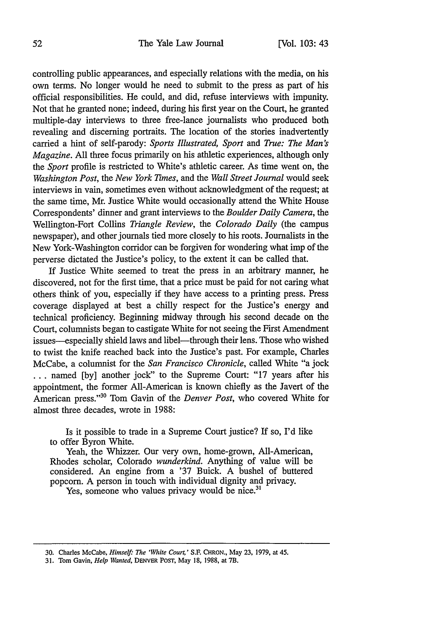### The Yale Law Journal

controlling public appearances, and especially relations with the media, on his own terms. No longer would he need to submit to the press as part of his official responsibilities. He could, and did, refuse interviews with impunity. Not that he granted none; indeed, during his first year on the Court, he granted multiple-day interviews to three free-lance journalists who produced both revealing and discerning portraits. The location of the stories inadvertently carried a hint of self-parody: *Sports Illustrated, Sport* and *True: The Man's Magazine.* All three focus primarily on his athletic experiences, although only the *Sport* profile is restricted to White's athletic career. As time went on, the *Washington Post,* the *New York Times,* and the *Wall Street Journal* would seek interviews in vain, sometimes even without acknowledgment of the request; at the same time, Mr. Justice White would occasionally attend the White House Correspondents' dinner and grant interviews to the *Boulder Daily Camera, the* Wellington-Fort Collins *Triangle Review, the Colorado Daily* (the campus newspaper), and other journals tied more closely to his roots. Journalists in the New York-Washington corridor can be forgiven for wondering what imp of the perverse dictated the Justice's policy, to the extent it can be called that.

If Justice White seemed to treat the press in an arbitrary manner, he discovered, not for the first time, that a price must be paid for not caring what others think of you, especially if they have access to a printing press. Press coverage displayed at best a chilly respect for the Justice's energy and technical proficiency. Beginning midway through his second decade on the Court, columnists began to castigate White for not seeing the First Amendment issues-especially shield laws and libel-through their lens. Those who wished to twist the knife reached back into the Justice's past. For example, Charles McCabe, a columnist for the *San Francisco Chronicle,* called White "a jock ... named [by] another jock" to the Supreme Court: "17 years after his appointment, the former All-American is known chiefly as the Javert of the American press."30 Tom Gavin of the *Denver Post,* who covered White for almost three decades, wrote in 1988:

Is it possible to trade in a Supreme Court justice? If so, I'd like to offer Byron White.

Yeah, the Whizzer. Our very own, home-grown, All-American, Rhodes scholar, Colorado *wunderkind.* Anything of value will be considered. An engine from a '37 Buick. A bushel of buttered popcorn. A person in touch with individual dignity and privacy.

Yes, someone who values privacy would be nice.<sup>31</sup>

**<sup>30.</sup>** Charles McCabe, *Himsef: The 'White Court,'* **S.F** CHRON., May **23, 1979,** at 45.

**<sup>31.</sup>** Tom Gavin, *Help Wanted,* DENVER **POST,** May **18, 1988,** at **7B.**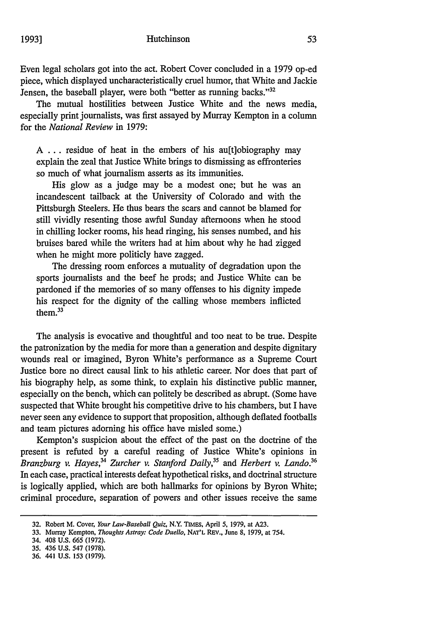Even legal scholars got into the act. Robert Cover concluded in a 1979 op-ed piece, which displayed uncharacteristically cruel humor, that White and Jackie Jensen, the baseball player, were both "better as running backs."<sup>32</sup>

The mutual hostilities between Justice White and the news media, especially print journalists, was first assayed by Murray Kempton in a column for the *National Review* in 1979:

A ... residue of heat in the embers of his auftlobiography may explain the zeal that Justice White brings to dismissing as effronteries so much of what journalism asserts as its immunities.

His glow as a judge may be a modest one; but he was an incandescent tailback at the University of Colorado and with the Pittsburgh Steelers. He thus bears the scars and cannot be blamed for still vividly resenting those awful Sunday afternoons when he stood in chilling locker rooms, his head ringing, his senses numbed, and his bruises bared while the writers had at him about why he had zigged when he might more politicly have zagged.

The dressing room enforces a mutuality of degradation upon the sports journalists and the beef he prods; and Justice White can be pardoned if the memories of so many offenses to his dignity impede his respect for the dignity of the calling whose members inflicted them. 33

The analysis is evocative and thoughtful and too neat to be true. Despite the patronization by the media for more than a generation and despite dignitary wounds real or imagined, Byron White's performance as a Supreme Court Justice bore no direct causal link to his athletic career. Nor does that part of his biography help, as some think, to explain his distinctive public manner, especially on the bench, which can politely be described as abrupt. (Some have suspected that White brought his competitive drive to his chambers, but I have never seen any evidence to support that proposition, although deflated footballs and team pictures adorning his office have misled some.)

Kempton's suspicion about the effect of the past on the doctrine of the present is refuted by a careful reading of Justice White's opinions in *Branzburg v. Hayes*,<sup>34</sup> Zurcher v. Stanford Daily,<sup>35</sup> and *Herbert v. Lando.*<sup>36</sup> In each case, practical interests defeat hypothetical risks, and doctrinal structure is logically applied, which are both hallmarks for opinions by Byron White; criminal procedure, separation of powers and other issues receive the same

34. 408 **U.S. 665 (1972).**

**<sup>32.</sup>** Robert M. Cover, *Your Law-Baseball Quiz,* N.Y. TIMES, April **5,** 1979, at **A23.**

**<sup>33.</sup>** Murray Kempton, *Thoughts Astray: Code Duello,* **NAT'L REV.,** June **8, 1979,** at 754.

<sup>35. 436</sup> U.S. 547 **(1978).**

<sup>36. 441</sup> U.S. **153** (1979).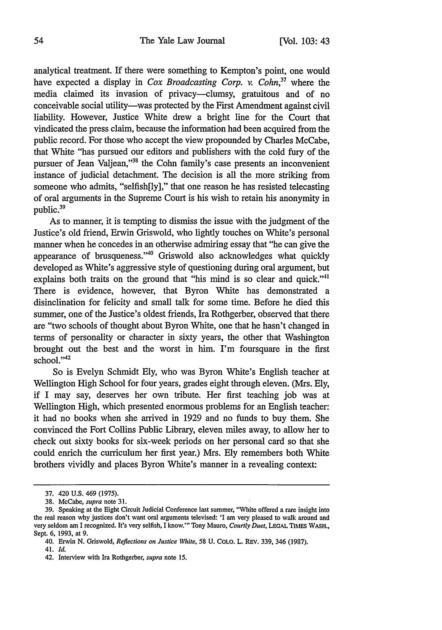analytical treatment. If there were something to Kempton's point, one would have expected a display in *Cox Broadcasting Corp. v. Cohn,37* where the media claimed its invasion of privacy—clumsy, gratuitous and of no conceivable social utility—was protected by the First Amendment against civil liability. However, Justice White drew a bright line for the Court that vindicated the press claim, because the information had been acquired from the public record. For those who accept the view propounded by Charles McCabe, that White "has pursued our editors and publishers with the cold fury of the pursuer of Jean Valjean,"38 the Cohn family's case presents an inconvenient instance of judicial detachment. The decision is all the more striking from someone who admits, "selfish[ly]," that one reason he has resisted telecasting of oral arguments in the Supreme Court is his wish to retain his anonymity in public.<sup>39</sup>

As to manner, it is tempting to dismiss the issue with the judgment of the Justice's old friend, Erwin Griswold, who lightly touches on White's personal manner when he concedes in an otherwise admiring essay that "he can give the appearance of brusqueness." $40$  Griswold also acknowledges what quickly developed as White's aggressive style of questioning during oral argument, but explains both traits on the ground that "his mind is so clear and quick."<sup>41</sup> There is evidence, however, that Byron White has demonstrated a disinclination for felicity and small talk for some time. Before he died this summer, one of the Justice's oldest friends, Ira Rothgerber, observed that there are "two schools of thought about Byron White, one that he hasn't changed in terms of personality or character in sixty years, the other that Washington brought out the best and the worst in him. I'm foursquare in the first  $school.<sup>942</sup>$ 

So is Evelyn Schmidt Ely, who was Byron White's English teacher at Wellington High School for four years, grades eight through eleven. (Mrs. Ely, if I may say, deserves her own tribute. Her first teaching job was at Wellington High, which presented enormous problems for an English teacher: it had no books when she arrived in 1929 and no funds to buy them. She convinced the Fort Collins Public Library, eleven miles away, to allow her to check out sixty books for six-week periods on her personal card so that she could enrich the curriculum her first year.) Mrs. Ely remembers both White brothers vividly and places Byron White's manner in a revealing context:

<sup>37. 420</sup> U.S. 469 (1975).

<sup>38.</sup> McCabe, supra note 31.

<sup>39.</sup> Speaking at the Eight Circuit Judicial Conference last summer, "White offered a rare insight into the real reason why justices don't want oral arguments televised: 'I am very pleased to walk around and very seldom am I recognized. It's very selfish, I know."' Tony Mauro, Courtly Duet, LEGAL TIMES *'WASH.,* Sept. 6, 1993, at 9.

<sup>40.</sup> Erwin N. Griswold, *Reflections on Justice White,* 58 U. COLO. L. REv. 339, 346 (1987).

<sup>41.</sup> *Id.*

<sup>42.</sup> Interview with Ira Rothgerber, supra note 15.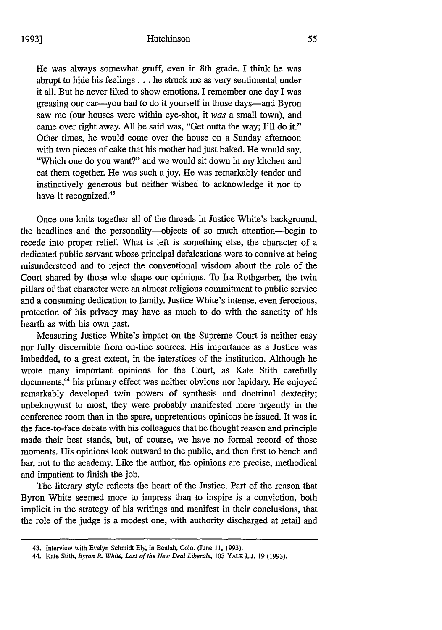He was always somewhat gruff, even in 8th grade. I think he was abrupt to hide his feelings.., he struck me as very sentimental under it all. But he never liked to show emotions. I remember one day I was greasing our car-you had to do it yourself in those days-and Byron saw me (our houses were within eye-shot, it *was* a small town), and came over right away. All he said was, "Get outta the way; I'll do it." Other times, he would come over the house on a Sunday afternoon with two pieces of cake that his mother had just baked. He would say, "Which one do you want?" and we would sit down in my kitchen and eat them together. He was such a joy. He was remarkably tender and instinctively generous but neither wished to acknowledge it nor to have it recognized.<sup>43</sup>

Once one knits together all of the threads in Justice White's background, the headlines and the personality--objects of so much attention-begin to recede into proper relief. What is left is something else, the character of a dedicated public servant whose principal defalcations were to connive at being misunderstood and to reject the conventional wisdom about the role of the Court shared by those who shape our opinions. To Ira Rothgerber, the twin pillars of that character were an almost religious commitment to public service and a consuming dedication to family. Justice White's intense, even ferocious, protection of his privacy may have as much to do with the sanctity of his hearth as with his own past.

Measuring Justice White's impact on the Supreme Court is neither easy nor fully discernible from on-line sources. His importance as a Justice was imbedded, to a great extent, in the interstices of the institution. Although he wrote many important opinions for the Court, as Kate Stith carefully documents,<sup>44</sup> his primary effect was neither obvious nor lapidary. He enjoyed remarkably developed twin powers of synthesis and doctrinal dexterity; unbeknownst to most, they were probably manifested more urgently in the conference room than in the spare, unpretentious opinions he issued. It was in the face-to-face debate with his colleagues that he thought reason and principle made their best stands, but, of course, we have no formal record of those moments. His opinions look outward to the public, and then first to bench and bar, not to the academy. Like the author, the opinions are precise, methodical and impatient to finish the job.

The literary style reflects the heart of the Justice. Part of the reason that Byron White seemed more to impress than to inspire is a conviction, both implicit in the strategy of his writings and manifest in their conclusions, that the role of the judge is a modest one, with authority discharged at retail and

<sup>43.</sup> Interview with Evelyn Schmidt Ely, in Beulah, Colo. (June 11, 1993).

<sup>44.</sup> Kate Stith, *Byron R. White, Last of the New Deal Liberals,* **103** YALE **L.J. 19 (1993).**